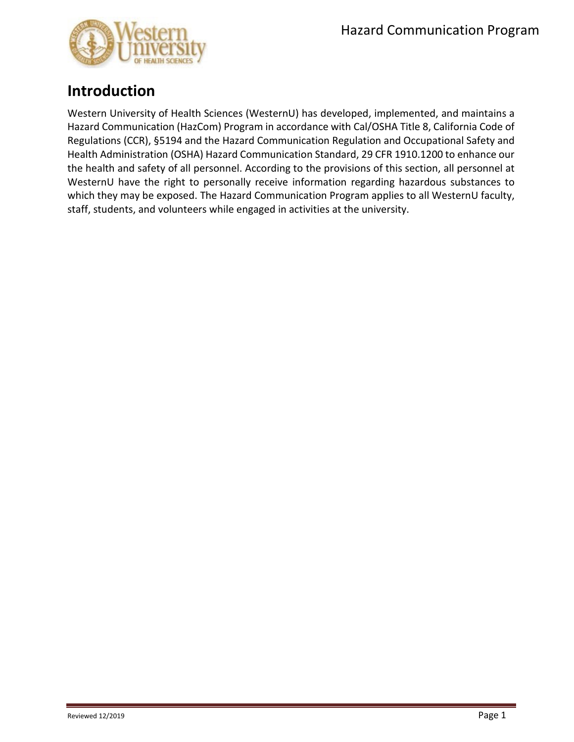

# **Introduction**

Western University of Health Sciences (WesternU) has developed, implemented, and maintains a Hazard Communication (HazCom) Program in accordance with Cal/OSHA Title 8, California Code of Regulations (CCR), §5194 and the Hazard Communication Regulation and Occupational Safety and Health Administration (OSHA) Hazard Communication Standard, 29 CFR 1910.1200 to enhance our the health and safety of all personnel. According to the provisions of this section, all personnel at WesternU have the right to personally receive information regarding hazardous substances to which they may be exposed. The Hazard Communication Program applies to all WesternU faculty, staff, students, and volunteers while engaged in activities at the university.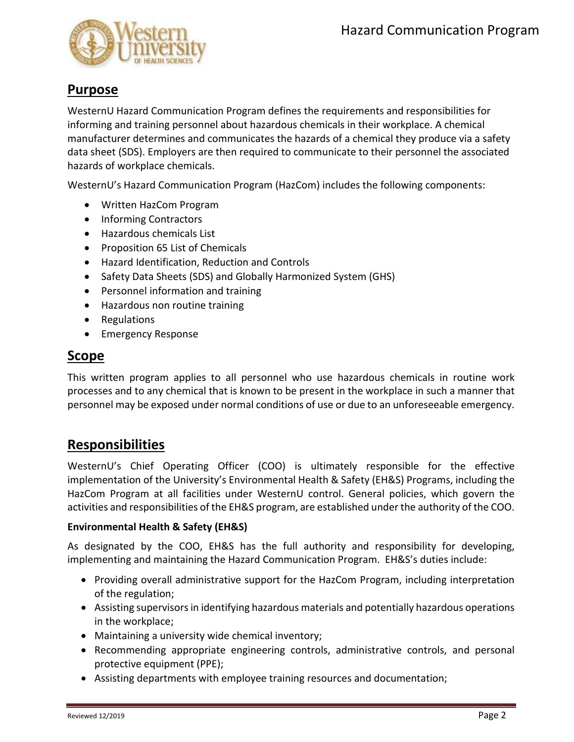

## **Purpose**

WesternU Hazard Communication Program defines the requirements and responsibilities for informing and training personnel about hazardous chemicals in their workplace. A chemical manufacturer determines and communicates the hazards of a chemical they produce via a safety data sheet (SDS). Employers are then required to communicate to their personnel the associated hazards of workplace chemicals.

WesternU's Hazard Communication Program (HazCom) includes the following components:

- Written HazCom Program
- Informing Contractors
- Hazardous chemicals List
- Proposition 65 List of Chemicals
- Hazard Identification, Reduction and Controls
- Safety Data Sheets (SDS) and Globally Harmonized System (GHS)
- Personnel information and training
- Hazardous non routine training
- Regulations
- Emergency Response

#### **Scope**

This written program applies to all personnel who use hazardous chemicals in routine work processes and to any chemical that is known to be present in the workplace in such a manner that personnel may be exposed under normal conditions of use or due to an unforeseeable emergency.

## **Responsibilities**

WesternU's Chief Operating Officer (COO) is ultimately responsible for the effective implementation of the University's Environmental Health & Safety (EH&S) Programs, including the HazCom Program at all facilities under WesternU control. General policies, which govern the activities and responsibilities of the EH&S program, are established under the authority of the COO.

#### **Environmental Health & Safety (EH&S)**

As designated by the COO, EH&S has the full authority and responsibility for developing, implementing and maintaining the Hazard Communication Program. EH&S's duties include:

- Providing overall administrative support for the HazCom Program, including interpretation of the regulation;
- Assisting supervisors in identifying hazardous materials and potentially hazardous operations in the workplace;
- Maintaining a university wide chemical inventory;
- Recommending appropriate engineering controls, administrative controls, and personal protective equipment (PPE);
- Assisting departments with employee training resources and documentation;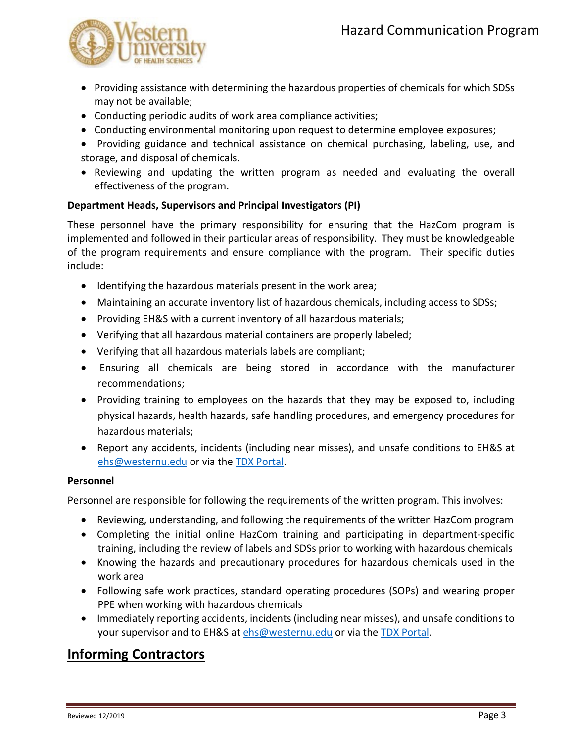

- Providing assistance with determining the hazardous properties of chemicals for which SDSs may not be available;
- Conducting periodic audits of work area compliance activities;
- Conducting environmental monitoring upon request to determine employee exposures;
- Providing guidance and technical assistance on chemical purchasing, labeling, use, and storage, and disposal of chemicals.
- Reviewing and updating the written program as needed and evaluating the overall effectiveness of the program.

#### **Department Heads, Supervisors and Principal Investigators (PI)**

These personnel have the primary responsibility for ensuring that the HazCom program is implemented and followed in their particular areas of responsibility. They must be knowledgeable of the program requirements and ensure compliance with the program. Their specific duties include:

- Identifying the hazardous materials present in the work area;
- Maintaining an accurate inventory list of hazardous chemicals, including access to SDSs;
- Providing EH&S with a current inventory of all hazardous materials;
- Verifying that all hazardous material containers are properly labeled;
- Verifying that all hazardous materials labels are compliant;
- Ensuring all chemicals are being stored in accordance with the manufacturer recommendations;
- Providing training to employees on the hazards that they may be exposed to, including physical hazards, health hazards, safe handling procedures, and emergency procedures for hazardous materials;
- Report any accidents, incidents (including near misses), and unsafe conditions to EH&S at [ehs@westernu.edu](mailto:ehs@westernu.edu) or via the [TDX Portal.](https://support.westernu.edu/TDClient/1848/Portal/Requests/ServiceCatalog?CategoryID=13526)

#### **Personnel**

Personnel are responsible for following the requirements of the written program. This involves:

- Reviewing, understanding, and following the requirements of the written HazCom program
- Completing the initial online HazCom training and participating in department-specific training, including the review of labels and SDSs prior to working with hazardous chemicals
- Knowing the hazards and precautionary procedures for hazardous chemicals used in the work area
- Following safe work practices, standard operating procedures (SOPs) and wearing proper PPE when working with hazardous chemicals
- Immediately reporting accidents, incidents (including near misses), and unsafe conditions to your supervisor and to EH&S at [ehs@westernu.edu](mailto:ehs@westernu.edu) or via the [TDX Portal.](https://support.westernu.edu/TDClient/1848/Portal/Requests/ServiceCatalog?CategoryID=13526)

## **Informing Contractors**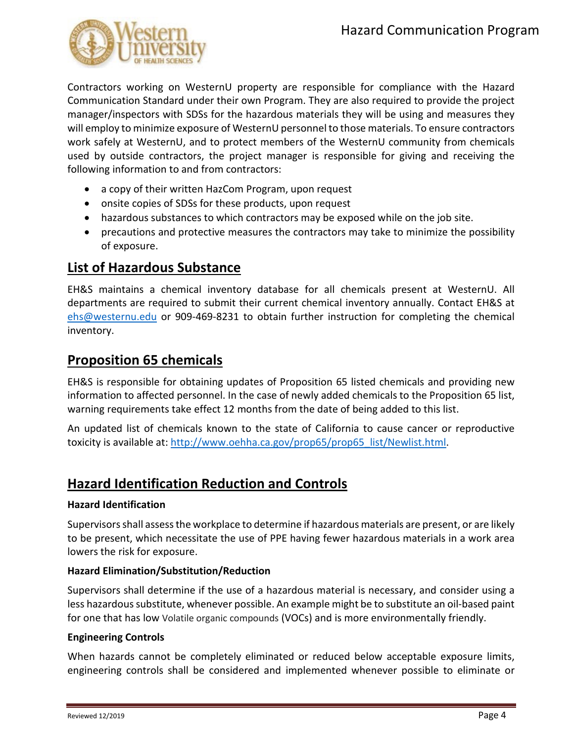

Contractors working on WesternU property are responsible for compliance with the Hazard Communication Standard under their own Program. They are also required to provide the project manager/inspectors with SDSs for the hazardous materials they will be using and measures they will employ to minimize exposure of WesternU personnel to those materials. To ensure contractors work safely at WesternU, and to protect members of the WesternU community from chemicals used by outside contractors, the project manager is responsible for giving and receiving the following information to and from contractors:

- a copy of their written HazCom Program, upon request
- onsite copies of SDSs for these products, upon request
- hazardous substances to which contractors may be exposed while on the job site.
- precautions and protective measures the contractors may take to minimize the possibility of exposure.

## **List of Hazardous Substance**

EH&S maintains a chemical inventory database for all chemicals present at WesternU. All departments are required to submit their current chemical inventory annually. Contact EH&S at [ehs@westernu.edu](mailto:ehs@westernu.edu) or 909-469-8231 to obtain further instruction for completing the chemical inventory.

## **Proposition 65 chemicals**

EH&S is responsible for obtaining updates of Proposition 65 listed chemicals and providing new information to affected personnel. In the case of newly added chemicals to the Proposition 65 list, warning requirements take effect 12 months from the date of being added to this list.

An updated list of chemicals known to the state of California to cause cancer or reproductive toxicity is available at: [http://www.oehha.ca.gov/prop65/prop65\\_list/Newlist.html.](http://www.oehha.ca.gov/prop65/prop65_list/Newlist.html)

## **Hazard Identification Reduction and Controls**

#### **Hazard Identification**

Supervisors shall assess the workplace to determine if hazardous materials are present, or are likely to be present, which necessitate the use of PPE having fewer hazardous materials in a work area lowers the risk for exposure.

#### **Hazard Elimination/Substitution/Reduction**

Supervisors shall determine if the use of a hazardous material is necessary, and consider using a less hazardous substitute, whenever possible. An example might be to substitute an oil-based paint for one that has low Volatile organic compounds (VOCs) and is more environmentally friendly.

#### **Engineering Controls**

When hazards cannot be completely eliminated or reduced below acceptable exposure limits, engineering controls shall be considered and implemented whenever possible to eliminate or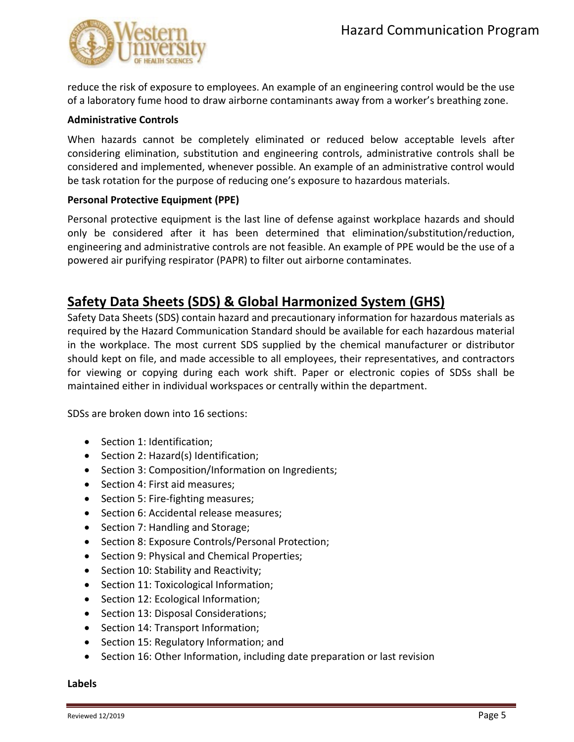

reduce the risk of exposure to employees. An example of an engineering control would be the use of a laboratory fume hood to draw airborne contaminants away from a worker's breathing zone.

#### **Administrative Controls**

When hazards cannot be completely eliminated or reduced below acceptable levels after considering elimination, substitution and engineering controls, administrative controls shall be considered and implemented, whenever possible. An example of an administrative control would be task rotation for the purpose of reducing one's exposure to hazardous materials.

#### **Personal Protective Equipment (PPE)**

Personal protective equipment is the last line of defense against workplace hazards and should only be considered after it has been determined that elimination/substitution/reduction, engineering and administrative controls are not feasible. An example of PPE would be the use of a powered air purifying respirator (PAPR) to filter out airborne contaminates.

## **Safety Data Sheets (SDS) & Global Harmonized System (GHS)**

Safety Data Sheets (SDS) contain hazard and precautionary information for hazardous materials as required by the Hazard Communication Standard should be available for each hazardous material in the workplace. The most current SDS supplied by the chemical manufacturer or distributor should kept on file, and made accessible to all employees, their representatives, and contractors for viewing or copying during each work shift. Paper or electronic copies of SDSs shall be maintained either in individual workspaces or centrally within the department.

SDSs are broken down into 16 sections:

- Section 1: Identification;
- Section 2: Hazard(s) Identification;
- Section 3: Composition/Information on Ingredients;
- Section 4: First aid measures;
- Section 5: Fire-fighting measures;
- Section 6: Accidental release measures;
- Section 7: Handling and Storage;
- Section 8: Exposure Controls/Personal Protection;
- Section 9: Physical and Chemical Properties;
- Section 10: Stability and Reactivity;
- Section 11: Toxicological Information;
- Section 12: Ecological Information;
- Section 13: Disposal Considerations;
- Section 14: Transport Information;
- Section 15: Regulatory Information; and
- Section 16: Other Information, including date preparation or last revision

#### **Labels**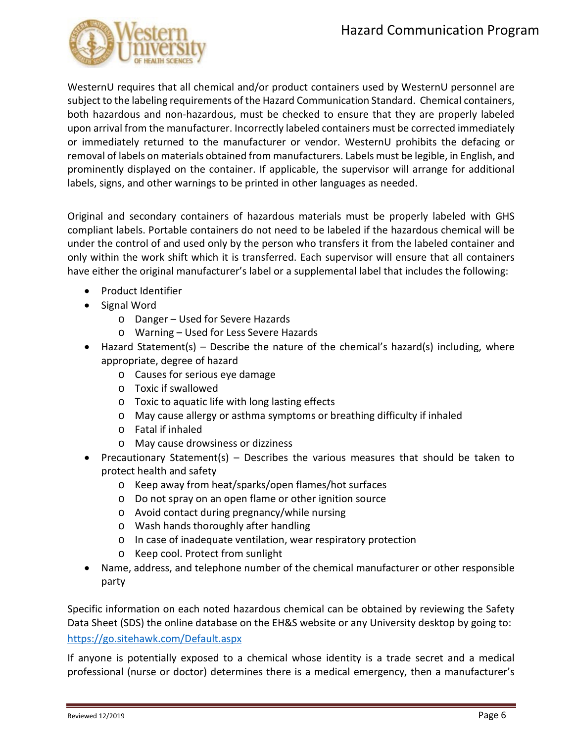

WesternU requires that all chemical and/or product containers used by WesternU personnel are subject to the labeling requirements of the Hazard Communication Standard. Chemical containers, both hazardous and non-hazardous, must be checked to ensure that they are properly labeled upon arrival from the manufacturer. Incorrectly labeled containers must be corrected immediately or immediately returned to the manufacturer or vendor. WesternU prohibits the defacing or removal of labels on materials obtained from manufacturers. Labels must be legible, in English, and prominently displayed on the container. If applicable, the supervisor will arrange for additional labels, signs, and other warnings to be printed in other languages as needed.

Original and secondary containers of hazardous materials must be properly labeled with GHS compliant labels. Portable containers do not need to be labeled if the hazardous chemical will be under the control of and used only by the person who transfers it from the labeled container and only within the work shift which it is transferred. Each supervisor will ensure that all containers have either the original manufacturer's label or a supplemental label that includes the following:

- Product Identifier
- Signal Word
	- o Danger Used for Severe Hazards
	- o Warning Used for Less Severe Hazards
- Hazard Statement(s) Describe the nature of the chemical's hazard(s) including, where appropriate, degree of hazard
	- o Causes for serious eye damage
	- o Toxic if swallowed
	- o Toxic to aquatic life with long lasting effects
	- o May cause allergy or asthma symptoms or breathing difficulty if inhaled
	- o Fatal if inhaled
	- o May cause drowsiness or dizziness
- Precautionary Statement(s) Describes the various measures that should be taken to protect health and safety
	- o Keep away from heat/sparks/open flames/hot surfaces
	- o Do not spray on an open flame or other ignition source
	- o Avoid contact during pregnancy/while nursing
	- o Wash hands thoroughly after handling
	- o In case of inadequate ventilation, wear respiratory protection
	- o Keep cool. Protect from sunlight
- Name, address, and telephone number of the chemical manufacturer or other responsible party

Specific information on each noted hazardous chemical can be obtained by reviewing the Safety Data Sheet (SDS) the online database on the EH&S website or any University desktop by going to: <https://go.sitehawk.com/Default.aspx>

If anyone is potentially exposed to a chemical whose identity is a trade secret and a medical professional (nurse or doctor) determines there is a medical emergency, then a manufacturer's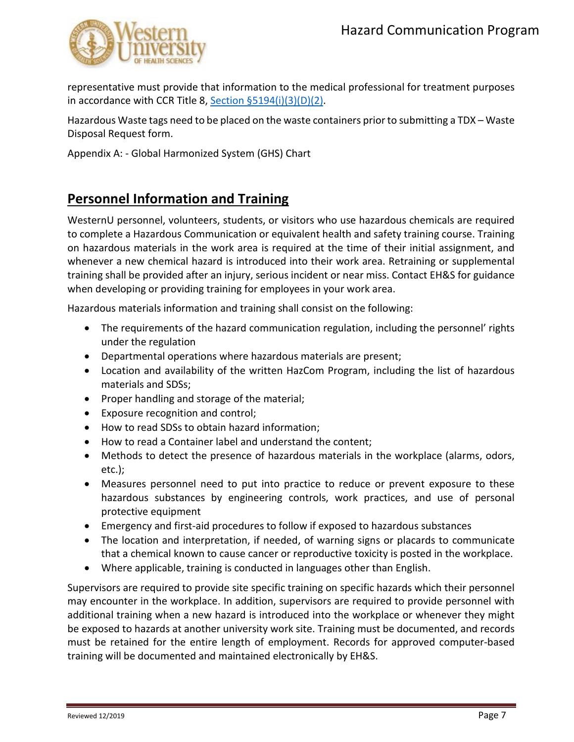

representative must provide that information to the medical professional for treatment purposes in accordance with CCR Title 8, [Section §5194\(i\)\(3\)\(D\)\(2\).](https://www.dir.ca.gov/title8/5194.html)

Hazardous Waste tags need to be placed on the waste containers prior to submitting a TDX – Waste Disposal Request form.

Appendix A: - Global Harmonized System (GHS) Chart

## **Personnel Information and Training**

WesternU personnel, volunteers, students, or visitors who use hazardous chemicals are required to complete a Hazardous Communication or equivalent health and safety training course. Training on hazardous materials in the work area is required at the time of their initial assignment, and whenever a new chemical hazard is introduced into their work area. Retraining or supplemental training shall be provided after an injury, serious incident or near miss. Contact EH&S for guidance when developing or providing training for employees in your work area.

Hazardous materials information and training shall consist on the following:

- The requirements of the hazard communication regulation, including the personnel' rights under the regulation
- Departmental operations where hazardous materials are present;
- Location and availability of the written HazCom Program, including the list of hazardous materials and SDSs;
- Proper handling and storage of the material;
- Exposure recognition and control;
- How to read SDSs to obtain hazard information;
- How to read a Container label and understand the content;
- Methods to detect the presence of hazardous materials in the workplace (alarms, odors, etc.);
- Measures personnel need to put into practice to reduce or prevent exposure to these hazardous substances by engineering controls, work practices, and use of personal protective equipment
- Emergency and first-aid procedures to follow if exposed to hazardous substances
- The location and interpretation, if needed, of warning signs or placards to communicate that a chemical known to cause cancer or reproductive toxicity is posted in the workplace.
- Where applicable, training is conducted in languages other than English.

Supervisors are required to provide site specific training on specific hazards which their personnel may encounter in the workplace. In addition, supervisors are required to provide personnel with additional training when a new hazard is introduced into the workplace or whenever they might be exposed to hazards at another university work site. Training must be documented, and records must be retained for the entire length of employment. Records for approved computer-based training will be documented and maintained electronically by EH&S.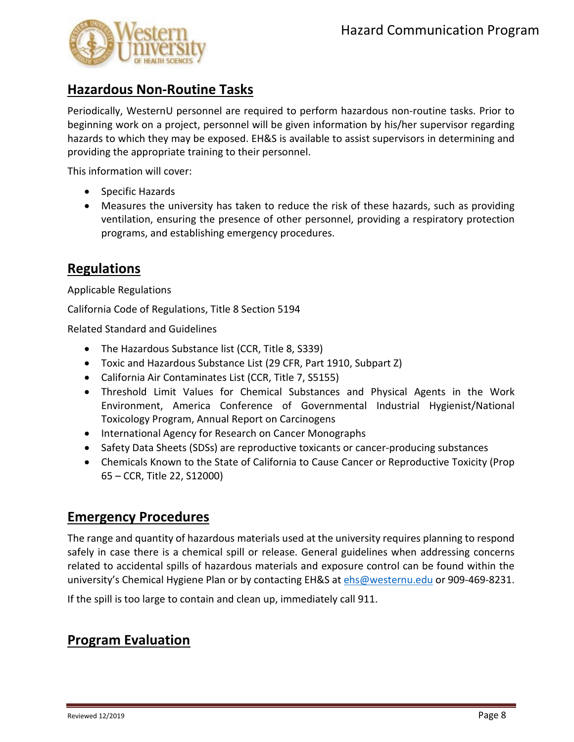

## **Hazardous Non-Routine Tasks**

Periodically, WesternU personnel are required to perform hazardous non-routine tasks. Prior to beginning work on a project, personnel will be given information by his/her supervisor regarding hazards to which they may be exposed. EH&S is available to assist supervisors in determining and providing the appropriate training to their personnel.

This information will cover:

- Specific Hazards
- Measures the university has taken to reduce the risk of these hazards, such as providing ventilation, ensuring the presence of other personnel, providing a respiratory protection programs, and establishing emergency procedures.

## **Regulations**

Applicable Regulations

California Code of Regulations, Title 8 Section 5194

Related Standard and Guidelines

- The Hazardous Substance list (CCR, Title 8, S339)
- Toxic and Hazardous Substance List (29 CFR, Part 1910, Subpart Z)
- California Air Contaminates List (CCR, Title 7, S5155)
- Threshold Limit Values for Chemical Substances and Physical Agents in the Work Environment, America Conference of Governmental Industrial Hygienist/National Toxicology Program, Annual Report on Carcinogens
- International Agency for Research on Cancer Monographs
- Safety Data Sheets (SDSs) are reproductive toxicants or cancer-producing substances
- Chemicals Known to the State of California to Cause Cancer or Reproductive Toxicity (Prop 65 – CCR, Title 22, S12000)

### **Emergency Procedures**

The range and quantity of hazardous materials used at the university requires planning to respond safely in case there is a chemical spill or release. General guidelines when addressing concerns related to accidental spills of hazardous materials and exposure control can be found within the university's Chemical Hygiene Plan or by contacting EH&S at [ehs@westernu.edu](mailto:ehs@westernu.edu) or 909-469-8231.

If the spill is too large to contain and clean up, immediately call 911.

## **Program Evaluation**